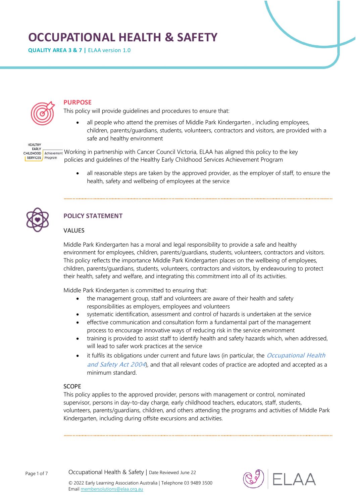# **OCCUPATIONAL HEALTH & SAFETY**

**QUALITY AREA 3 & 7 |** ELAA version 1.0



**HEALTHY** EARLY **CHILDHOOD** 

# **PURPOSE**

This policy will provide guidelines and procedures to ensure that:

 all people who attend the premises of Middle Park Kindergarten , including employees, children, parents/guardians, students, volunteers, contractors and visitors, are provided with a safe and healthy environment

Achievement Working in partnership with Cancer Council Victoria, ELAA has aligned this policy to the key SERVICES Program policies and guidelines of the Healthy Early Childhood Services Achievement Program

> all reasonable steps are taken by the approved provider, as the employer of staff, to ensure the health, safety and wellbeing of employees at the service



# **POLICY STATEMENT**

# VALUES

Middle Park Kindergarten has a moral and legal responsibility to provide a safe and healthy environment for employees, children, parents/guardians, students, volunteers, contractors and visitors. This policy reflects the importance Middle Park Kindergarten places on the wellbeing of employees, children, parents/guardians, students, volunteers, contractors and visitors, by endeavouring to protect their health, safety and welfare, and integrating this commitment into all of its activities.

Middle Park Kindergarten is committed to ensuring that:

- the management group, staff and volunteers are aware of their health and safety responsibilities as employers, employees and volunteers
- systematic identification, assessment and control of hazards is undertaken at the service
- effective communication and consultation form a fundamental part of the management process to encourage innovative ways of reducing risk in the service environment
- training is provided to assist staff to identify health and safety hazards which, when addressed, will lead to safer work practices at the service
- it fulfils its obligations under current and future laws (in particular, the *Occupational Health* and Safety Act 2004), and that all relevant codes of practice are adopted and accepted as a minimum standard.

## SCOPE

This policy applies to the approved provider, persons with management or control, nominated supervisor, persons in day-to-day charge, early childhood teachers, educators, staff, students, volunteers, parents/guardians, children, and others attending the programs and activities of Middle Park Kindergarten, including during offsite excursions and activities.

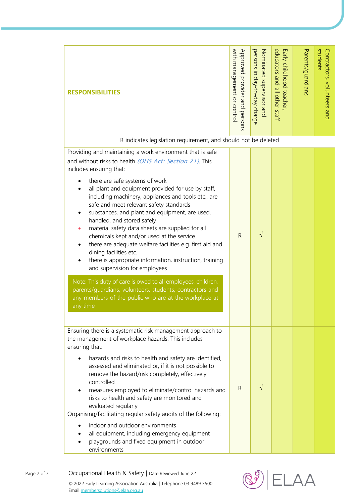| <b>RESPONSIBILITIES</b>                                                                                                                                                                                                                                                                                                                                                                                                                                                                                                                                                                                                                                                                                                                                                                                                                                                  | with management or contro<br>Approved provider and persons | persons in day-to-day charge<br>Nominated supervisor and | educators and all other staff<br>Early childhood teacher, | Parents/guardians | students<br>Contractors, volunteers and |
|--------------------------------------------------------------------------------------------------------------------------------------------------------------------------------------------------------------------------------------------------------------------------------------------------------------------------------------------------------------------------------------------------------------------------------------------------------------------------------------------------------------------------------------------------------------------------------------------------------------------------------------------------------------------------------------------------------------------------------------------------------------------------------------------------------------------------------------------------------------------------|------------------------------------------------------------|----------------------------------------------------------|-----------------------------------------------------------|-------------------|-----------------------------------------|
| R indicates legislation requirement, and should not be deleted<br>Providing and maintaining a work environment that is safe                                                                                                                                                                                                                                                                                                                                                                                                                                                                                                                                                                                                                                                                                                                                              |                                                            |                                                          |                                                           |                   |                                         |
| and without risks to health (OHS Act: Section 21) This<br>includes ensuring that:<br>there are safe systems of work<br>all plant and equipment provided for use by staff,<br>including machinery, appliances and tools etc., are<br>safe and meet relevant safety standards<br>substances, and plant and equipment, are used,<br>handled, and stored safely<br>material safety data sheets are supplied for all<br>$\bullet$<br>chemicals kept and/or used at the service<br>there are adequate welfare facilities e.g. first aid and<br>$\bullet$<br>dining facilities etc.<br>there is appropriate information, instruction, training<br>and supervision for employees<br>Note: This duty of care is owed to all employees, children,<br>parents/guardians, volunteers, students, contractors and<br>any members of the public who are at the workplace at<br>any time | R                                                          | $\sqrt{}$                                                |                                                           |                   |                                         |
| Ensuring there is a systematic risk management approach to<br>the management of workplace hazards. This includes                                                                                                                                                                                                                                                                                                                                                                                                                                                                                                                                                                                                                                                                                                                                                         |                                                            |                                                          |                                                           |                   |                                         |
| ensuring that:<br>hazards and risks to health and safety are identified,<br>assessed and eliminated or, if it is not possible to<br>remove the hazard/risk completely, effectively<br>controlled<br>measures employed to eliminate/control hazards and<br>risks to health and safety are monitored and<br>evaluated regularly<br>Organising/facilitating regular safety audits of the following:<br>indoor and outdoor environments<br>all equipment, including emergency equipment<br>playgrounds and fixed equipment in outdoor<br>environments                                                                                                                                                                                                                                                                                                                        | R                                                          | V                                                        |                                                           |                   |                                         |

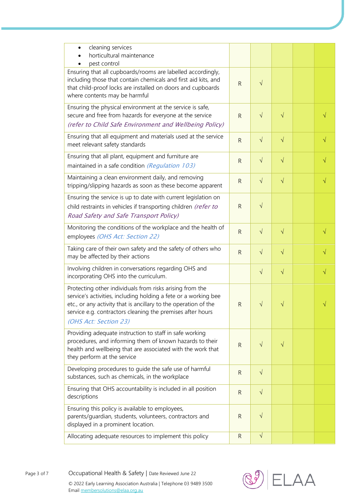| cleaning services<br>$\bullet$<br>horticultural maintenance<br>pest control                                                                                                                                                                                                           |              |           |           |            |            |
|---------------------------------------------------------------------------------------------------------------------------------------------------------------------------------------------------------------------------------------------------------------------------------------|--------------|-----------|-----------|------------|------------|
| Ensuring that all cupboards/rooms are labelled accordingly,<br>including those that contain chemicals and first aid kits, and<br>that child-proof locks are installed on doors and cupboards<br>where contents may be harmful                                                         | $\mathsf{R}$ | $\sqrt{}$ |           |            |            |
| Ensuring the physical environment at the service is safe,<br>secure and free from hazards for everyone at the service<br>(refer to Child Safe Environment and Wellbeing Policy)                                                                                                       | $\mathsf{R}$ | $\sqrt{}$ | $\sqrt{}$ |            | $\sqrt{}$  |
| Ensuring that all equipment and materials used at the service<br>meet relevant safety standards                                                                                                                                                                                       | ${\sf R}$    | $\sqrt{}$ | $\sqrt{}$ |            | $\sqrt{}$  |
| Ensuring that all plant, equipment and furniture are<br>maintained in a safe condition (Regulation 103)                                                                                                                                                                               | $\mathsf{R}$ | $\sqrt{}$ | $\sqrt{}$ |            | $\sqrt{}$  |
| Maintaining a clean environment daily, and removing<br>tripping/slipping hazards as soon as these become apparent                                                                                                                                                                     | $\mathsf{R}$ | $\sqrt{}$ | $\sqrt{}$ |            | $\sqrt{ }$ |
| Ensuring the service is up to date with current legislation on<br>child restraints in vehicles if transporting children (refer to<br>Road Safety and Safe Transport Policy)                                                                                                           | $\mathsf{R}$ | $\sqrt{}$ |           |            |            |
| Monitoring the conditions of the workplace and the health of<br>employees (OHS Act: Section 22)                                                                                                                                                                                       | $\mathsf{R}$ | $\sqrt{}$ | $\sqrt{}$ |            | $\sqrt{}$  |
| Taking care of their own safety and the safety of others who<br>may be affected by their actions                                                                                                                                                                                      | $\mathsf{R}$ | $\sqrt{}$ | $\sqrt{}$ |            | $\sqrt{}$  |
| Involving children in conversations regarding OHS and<br>incorporating OHS into the curriculum.                                                                                                                                                                                       |              | $\sqrt{}$ | $\sqrt{}$ |            | $\sqrt{}$  |
| Protecting other individuals from risks arising from the<br>service's activities, including holding a fete or a working bee<br>etc., or any activity that is ancillary to the operation of the<br>service e.g. contractors cleaning the premises after hours<br>(OHS Act: Section 23) | $\mathsf{R}$ | $\sqrt{}$ | V         |            |            |
| Providing adequate instruction to staff in safe working<br>procedures, and informing them of known hazards to their<br>health and wellbeing that are associated with the work that<br>they perform at the service                                                                     | $\mathsf{R}$ | $\sqrt{}$ | V         |            |            |
| Developing procedures to guide the safe use of harmful<br>substances, such as chemicals, in the workplace                                                                                                                                                                             | $\mathsf{R}$ | $\sqrt{}$ |           |            |            |
| Ensuring that OHS accountability is included in all position<br>descriptions                                                                                                                                                                                                          | $\mathsf{R}$ | $\sqrt{}$ |           |            |            |
| Ensuring this policy is available to employees,<br>parents/guardian, students, volunteers, contractors and<br>displayed in a prominent location.                                                                                                                                      | $\mathsf{R}$ | $\sqrt{}$ |           |            |            |
| Allocating adequate resources to implement this policy                                                                                                                                                                                                                                | $\mathsf{R}$ | $\sqrt{}$ |           |            |            |
| Occupational Health & Safety   Date Reviewed June 22<br>© 2022 Early Learning Association Australia   Telephone 03 9489 3500<br>Email membersolutions@elaa.org.au                                                                                                                     |              |           |           | $\Delta A$ |            |

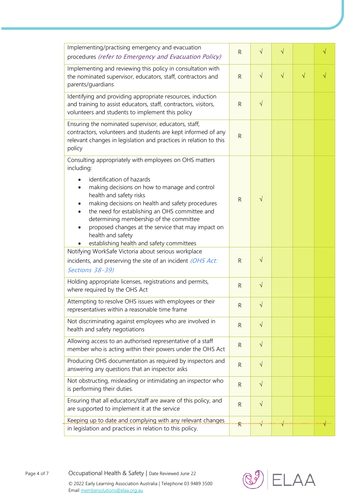| Implementing/practising emergency and evacuation<br>procedures (refer to Emergency and Evacuation Policy)                                                                                                                                                                                                                                                                                                                                              | $\mathsf{R}$                  | $\sqrt{ }$ | $\sqrt{}$ |           | $\sqrt{}$ |
|--------------------------------------------------------------------------------------------------------------------------------------------------------------------------------------------------------------------------------------------------------------------------------------------------------------------------------------------------------------------------------------------------------------------------------------------------------|-------------------------------|------------|-----------|-----------|-----------|
| Implementing and reviewing this policy in consultation with<br>the nominated supervisor, educators, staff, contractors and<br>parents/guardians                                                                                                                                                                                                                                                                                                        | $\mathsf{R}$                  | $\sqrt{}$  | $\sqrt{}$ | $\sqrt{}$ | $\sqrt{}$ |
| Identifying and providing appropriate resources, induction<br>and training to assist educators, staff, contractors, visitors,<br>volunteers and students to implement this policy                                                                                                                                                                                                                                                                      | $\mathsf{R}$                  | $\sqrt{ }$ |           |           |           |
| Ensuring the nominated supervisor, educators, staff,<br>contractors, volunteers and students are kept informed of any<br>relevant changes in legislation and practices in relation to this<br>policy                                                                                                                                                                                                                                                   | ${\sf R}$                     |            |           |           |           |
| Consulting appropriately with employees on OHS matters<br>including:<br>identification of hazards<br>making decisions on how to manage and control<br>health and safety risks<br>making decisions on health and safety procedures<br>the need for establishing an OHS committee and<br>determining membership of the committee<br>proposed changes at the service that may impact on<br>health and safety<br>establishing health and safety committees | $\mathsf{R}$                  | $\sqrt{}$  |           |           |           |
| Notifying WorkSafe Victoria about serious workplace<br>incidents, and preserving the site of an incident (OHS Act:<br>Sections 38-39)                                                                                                                                                                                                                                                                                                                  | $\mathsf{R}$                  | $\sqrt{}$  |           |           |           |
| Holding appropriate licenses, registrations and permits,<br>where required by the OHS Act                                                                                                                                                                                                                                                                                                                                                              | $\mathsf{R}$                  | $\sqrt{}$  |           |           |           |
| Attempting to resolve OHS issues with employees or their<br>representatives within a reasonable time frame                                                                                                                                                                                                                                                                                                                                             | $\mathsf{R}$                  | $\sqrt{ }$ |           |           |           |
| Not discriminating against employees who are involved in<br>health and safety negotiations                                                                                                                                                                                                                                                                                                                                                             | $\mathsf{R}$                  | $\sqrt{}$  |           |           |           |
| Allowing access to an authorised representative of a staff<br>member who is acting within their powers under the OHS Act                                                                                                                                                                                                                                                                                                                               | $\mathsf{R}$                  | $\sqrt{}$  |           |           |           |
| Producing OHS documentation as required by inspectors and<br>answering any questions that an inspector asks                                                                                                                                                                                                                                                                                                                                            | ${\sf R}$                     | $\sqrt{}$  |           |           |           |
| Not obstructing, misleading or intimidating an inspector who<br>is performing their duties.                                                                                                                                                                                                                                                                                                                                                            | $\mathsf{R}$                  | $\sqrt{}$  |           |           |           |
| Ensuring that all educators/staff are aware of this policy, and<br>are supported to implement it at the service                                                                                                                                                                                                                                                                                                                                        | $\mathsf{R}$                  | $\sqrt{}$  |           |           |           |
| Keeping up to date and complying with any relevant changes.<br>in legislation and practices in relation to this policy.                                                                                                                                                                                                                                                                                                                                | $\cdot$ <sub>R</sub> $\cdots$ | .          |           |           | √…        |
| Occupational Health & Safety   Date Reviewed June 22<br>© 2022 Early Learning Association Australia   Telephone 03 9489 3500<br>Email membersolutions@elaa.org.au                                                                                                                                                                                                                                                                                      |                               |            |           | ELAA      |           |



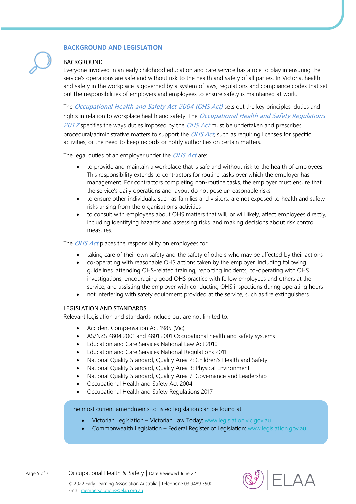## **BACKGROUND AND LEGISLATION**

## BACKGROUND

Everyone involved in an early childhood education and care service has a role to play in ensuring the service's operations are safe and without risk to the health and safety of all parties. In Victoria, health and safety in the workplace is governed by a system of laws, regulations and compliance codes that set out the responsibilities of employers and employees to ensure safety is maintained at work.

The Occupational Health and Safety Act 2004 (OHS Act) sets out the key principles, duties and rights in relation to workplace health and safety. The *Occupational Health and Safety Regulations* 2017 specifies the ways duties imposed by the OHS Act must be undertaken and prescribes procedural/administrative matters to support the OHS Act, such as requiring licenses for specific activities, or the need to keep records or notify authorities on certain matters.

The legal duties of an employer under the OHS Act are:

- to provide and maintain a workplace that is safe and without risk to the health of employees. This responsibility extends to contractors for routine tasks over which the employer has management. For contractors completing non-routine tasks, the employer must ensure that the service's daily operations and layout do not pose unreasonable risks
- to ensure other individuals, such as families and visitors, are not exposed to health and safety risks arising from the organisation's activities
- to consult with employees about OHS matters that will, or will likely, affect employees directly, including identifying hazards and assessing risks, and making decisions about risk control measures.

The *OHS Act* places the responsibility on employees for:

- taking care of their own safety and the safety of others who may be affected by their actions
- co-operating with reasonable OHS actions taken by the employer, including following guidelines, attending OHS-related training, reporting incidents, co-operating with OHS investigations, encouraging good OHS practice with fellow employees and others at the service, and assisting the employer with conducting OHS inspections during operating hours
- not interfering with safety equipment provided at the service, such as fire extinguishers

## LEGISLATION AND STANDARDS

Relevant legislation and standards include but are not limited to:

- Accident Compensation Act 1985 (Vic)
- AS/NZS 4804:2001 and 4801:2001 Occupational health and safety systems
- Education and Care Services National Law Act 2010
- Education and Care Services National Regulations 2011
- National Quality Standard, Quality Area 2: Children's Health and Safety
- National Quality Standard, Quality Area 3: Physical Environment
- National Quality Standard, Quality Area 7: Governance and Leadership
- Occupational Health and Safety Act 2004
- Occupational Health and Safety Regulations 2017

The most current amendments to listed legislation can be found at:

- Victorian Legislation Victorian Law Today: [www.legislation.vic.gov.au](http://www.legislation.vic.gov.au/)
- Commonwealth Legislation Federal Register of Legislation: [www.legislation.gov.au](http://www.legislation.gov.au/)

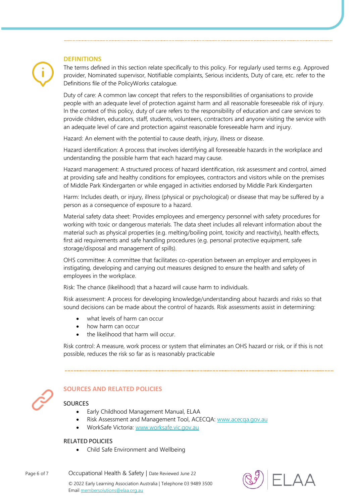#### **DEFINITIONS**

The terms defined in this section relate specifically to this policy. For regularly used terms e.g. Approved provider, Nominated supervisor, Notifiable complaints, Serious incidents, Duty of care, etc. refer to the Definitions file of the PolicyWorks catalogue.

Duty of care: A common law concept that refers to the responsibilities of organisations to provide people with an adequate level of protection against harm and all reasonable foreseeable risk of injury. In the context of this policy, duty of care refers to the responsibility of education and care services to provide children, educators, staff, students, volunteers, contractors and anyone visiting the service with an adequate level of care and protection against reasonable foreseeable harm and injury.

Hazard: An element with the potential to cause death, injury, illness or disease.

Hazard identification: A process that involves identifying all foreseeable hazards in the workplace and understanding the possible harm that each hazard may cause.

Hazard management: A structured process of hazard identification, risk assessment and control, aimed at providing safe and healthy conditions for employees, contractors and visitors while on the premises of Middle Park Kindergarten or while engaged in activities endorsed by Middle Park Kindergarten

Harm: Includes death, or injury, illness (physical or psychological) or disease that may be suffered by a person as a consequence of exposure to a hazard.

Material safety data sheet: Provides employees and emergency personnel with safety procedures for working with toxic or dangerous materials. The data sheet includes all relevant information about the material such as physical properties (e.g. melting/boiling point, toxicity and reactivity), health effects, first aid requirements and safe handling procedures (e.g. personal protective equipment, safe storage/disposal and management of spills).

OHS committee: A committee that facilitates co-operation between an employer and employees in instigating, developing and carrying out measures designed to ensure the health and safety of employees in the workplace.

Risk: The chance (likelihood) that a hazard will cause harm to individuals.

Risk assessment: A process for developing knowledge/understanding about hazards and risks so that sound decisions can be made about the control of hazards. Risk assessments assist in determining:

- what levels of harm can occur
- how harm can occur
- the likelihood that harm will occur.

Risk control: A measure, work process or system that eliminates an OHS hazard or risk, or if this is not possible, reduces the risk so far as is reasonably practicable



# **SOURCES AND RELATED POLICIES**

#### **SOURCES**

- Early Childhood Management Manual, ELAA
- Risk Assessment and Management Tool, ACECQA: [www.acecqa.gov.au](https://www.acecqa.gov.au/)
- WorkSafe Victoria[: www.worksafe.vic.gov.au](http://www.worksafe.vic.gov.au/)

#### RELATED POLICIES

• Child Safe Environment and Wellbeing

Page 6 of 7 Cocupational Health & Safety | Date Reviewed June 22 © 2022 Early Learning Association Australia | Telephone 03 9489 3500 Email [membersolutions@elaa.org.au](mailto:membersolutions@elaa.org.au)